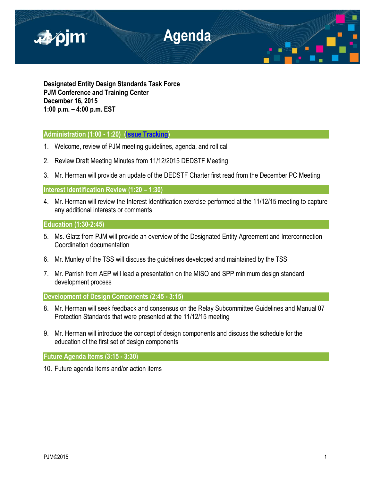

**Designated Entity Design Standards Task Force PJM Conference and Training Center December 16, 2015 1:00 p.m. – 4:00 p.m. EST**

## **Administration (1:00 - 1:20) [\(Issue Tracking\)](http://www.pjm.com/committees-and-groups/issue-tracking/issue-tracking-details.aspx?Issue=%7bE6133A76-DEC6-49DD-89E3-F5ECC642EA67%7d)**

- 1. Welcome, review of PJM meeting guidelines, agenda, and roll call
- 2. Review Draft Meeting Minutes from 11/12/2015 DEDSTF Meeting
- 3. Mr. Herman will provide an update of the DEDSTF Charter first read from the December PC Meeting

## **Interest Identification Review (1:20 – 1:30)**

4. Mr. Herman will review the Interest Identification exercise performed at the 11/12/15 meeting to capture any additional interests or comments

## **Education (1:30-2:45)**

- 5. Ms. Glatz from PJM will provide an overview of the Designated Entity Agreement and Interconnection Coordination documentation
- 6. Mr. Munley of the TSS will discuss the guidelines developed and maintained by the TSS
- 7. Mr. Parrish from AEP will lead a presentation on the MISO and SPP minimum design standard development process

**Development of Design Components (2:45 - 3:15)**

- 8. Mr. Herman will seek feedback and consensus on the Relay Subcommittee Guidelines and Manual 07 Protection Standards that were presented at the 11/12/15 meeting
- 9. Mr. Herman will introduce the concept of design components and discuss the schedule for the education of the first set of design components

**Future Agenda Items (3:15 - 3:30)**

10. Future agenda items and/or action items